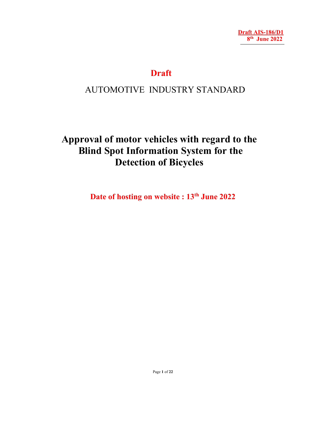# **Draft**

# AUTOMOTIVE INDUSTRY STANDARD

**Approval of motor vehicles with regard to the Blind Spot Information System for the Detection of Bicycles** 

Date of hosting on website : 13<sup>th</sup> June 2022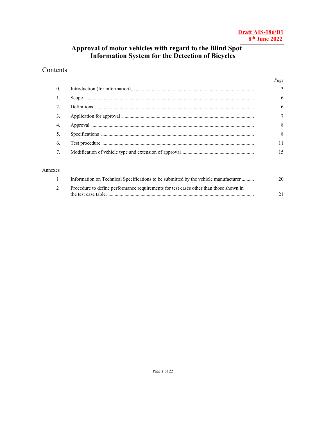# **Approval of motor vehicles with regard to the Blind Spot Information System for the Detection of Bicycles**

# Contents

|                  | Page          |
|------------------|---------------|
| $\theta$ .       | $\mathcal{L}$ |
| $\overline{1}$ . | 6             |
| 2.               | 6             |
| $\overline{3}$ . |               |
| 4.               | 8             |
| 5.               | 8             |
| 6.               | 11            |
| 7.               | 15            |

#### Annexes

| Information on Technical Specifications to be submitted by the vehicle manufacturer   | 20. |
|---------------------------------------------------------------------------------------|-----|
| Procedure to define performance requirements for test cases other than those shown in |     |
|                                                                                       |     |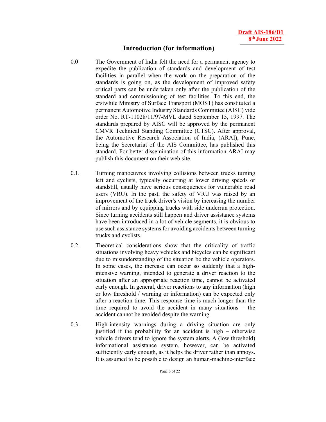## **Introduction (for information)**

- 0.0 The Government of India felt the need for a permanent agency to expedite the publication of standards and development of test facilities in parallel when the work on the preparation of the standards is going on, as the development of improved safety critical parts can be undertaken only after the publication of the standard and commissioning of test facilities. To this end, the erstwhile Ministry of Surface Transport (MOST) has constituted a permanent Automotive Industry Standards Committee (AISC) vide order No. RT-11028/11/97-MVL dated September 15, 1997. The standards prepared by AISC will be approved by the permanent CMVR Technical Standing Committee (CTSC). After approval, the Automotive Research Association of India, (ARAI), Pune, being the Secretariat of the AIS Committee, has published this standard. For better dissemination of this information ARAI may publish this document on their web site.
- 0.1. Turning manoeuvres involving collisions between trucks turning left and cyclists, typically occurring at lower driving speeds or standstill, usually have serious consequences for vulnerable road users (VRU). In the past, the safety of VRU was raised by an improvement of the truck driver's vision by increasing the number of mirrors and by equipping trucks with side underrun protection. Since turning accidents still happen and driver assistance systems have been introduced in a lot of vehicle segments, it is obvious to use such assistance systems for avoiding accidents between turning trucks and cyclists.
- 0.2. Theoretical considerations show that the criticality of traffic situations involving heavy vehicles and bicycles can be significant due to misunderstanding of the situation be the vehicle operators. In some cases, the increase can occur so suddenly that a highintensive warning, intended to generate a driver reaction to the situation after an appropriate reaction time, cannot be activated early enough. In general, driver reactions to any information (high or low threshold / warning or information) can be expected only after a reaction time. This response time is much longer than the time required to avoid the accident in many situations **–** the accident cannot be avoided despite the warning.
- 0.3. High-intensity warnings during a driving situation are only justified if the probability for an accident is high **–** otherwise vehicle drivers tend to ignore the system alerts. A (low threshold) informational assistance system, however, can be activated sufficiently early enough, as it helps the driver rather than annoys. It is assumed to be possible to design an human-machine-interface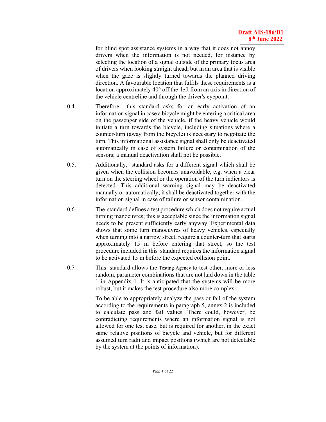for blind spot assistance systems in a way that it does not annoy drivers when the information is not needed, for instance by selecting the location of a signal outside of the primary focus area of drivers when looking straight ahead, but in an area that is visible when the gaze is slightly turned towards the planned driving direction. A favourable location that fulfils these requirements is a location approximately 40° off the left from an axis in direction of the vehicle centreline and through the driver's eyepoint.

- 0.4. Therefore this standard asks for an early activation of an information signal in case a bicycle might be entering a critical area on the passenger side of the vehicle, if the heavy vehicle would initiate a turn towards the bicycle, including situations where a counter-turn (away from the bicycle) is necessary to negotiate the turn. This informational assistance signal shall only be deactivated automatically in case of system failure or contamination of the sensors; a manual deactivation shall not be possible.
- 0.5. Additionally, standard asks for a different signal which shall be given when the collision becomes unavoidable, e.g. when a clear turn on the steering wheel or the operation of the turn indicators is detected. This additional warning signal may be deactivated manually or automatically; it shall be deactivated together with the information signal in case of failure or sensor contamination.
- 0.6. The standard defines a test procedure which does not require actual turning manoeuvres; this is acceptable since the information signal needs to be present sufficiently early anyway. Experimental data shows that some turn manoeuvres of heavy vehicles, especially when turning into a narrow street, require a counter-turn that starts approximately 15 m before entering that street, so the test procedure included in this standard requires the information signal to be activated 15 m before the expected collision point.
- 0.7 This standard allows the Testing Agency to test other, more or less random, parameter combinations that are not laid down in the table 1 in Appendix 1. It is anticipated that the systems will be more robust, but it makes the test procedure also more complex:

To be able to appropriately analyze the pass or fail of the system according to the requirements in paragraph 5, annex 2 is included to calculate pass and fail values. There could, however, be contradicting requirements where an information signal is not allowed for one test case, but is required for another, in the exact same relative positions of bicycle and vehicle, but for different assumed turn radii and impact positions (which are not detectable by the system at the points of information).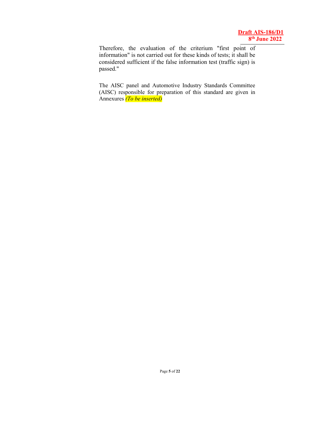Therefore, the evaluation of the criterium "first point of information" is not carried out for these kinds of tests; it shall be considered sufficient if the false information test (traffic sign) is passed."

The AISC panel and Automotive Industry Standards Committee (AISC) responsible for preparation of this standard are given in Annexures *(To be inserted)*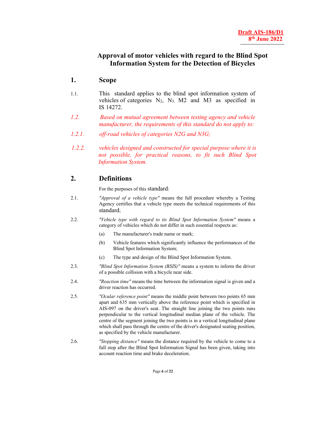# **Approval of motor vehicles with regard to the Blind Spot Information System for the Detection of Bicycles**

## **1. Scope**

- 1.1. This standard applies to the blind spot information system of vehicles of categories N2, N3, M2 and M3 as specified in IS 14272.
- *1.2. Based on mutual agreement between testing agency and vehicle manufacturer, the requirements of this standard do not apply to:*
- *1.2.1. off-road vehicles of categories N2G and N3G;*
- *1.2.2. vehicles designed and constructed for special purpose where it is not possible, for practical reasons, to fit such Blind Spot Information System.*

### **2. Definitions**

For the purposes of this standard:

- 2.1. *"Approval of a vehicle type"* means the full procedure whereby a Testing Agency certifies that a vehicle type meets the technical requirements of this standard;
- 2.2. *"Vehicle type with regard to its Blind Spot Information System"* means a category of vehicles which do not differ in such essential respects as:
	- (a) The manufacturer's trade name or mark;
	- (b) Vehicle features which significantly influence the performances of the Blind Spot Information System;
	- (c) The type and design of the Blind Spot Information System.
- 2.3. *"Blind Spot Information System (BSIS)"* means a system to inform the driver of a possible collision with a bicycle near side.
- 2.4. *"Reaction time"* means the time between the information signal is given and a driver reaction has occurred.
- 2.5. *"Ocular reference point"* means the middle point between two points 65 mm apart and 635 mm vertically above the reference point which is specified in AIS-097 on the driver's seat. The straight line joining the two points runs perpendicular to the vertical longitudinal median plane of the vehicle. The centre of the segment joining the two points is in a vertical longitudinal plane which shall pass through the centre of the driver's designated seating position, as specified by the vehicle manufacturer.
- 2.6. *"Stopping distance"* means the distance required by the vehicle to come to a full stop after the Blind Spot Information Signal has been given, taking into account reaction time and brake deceleration.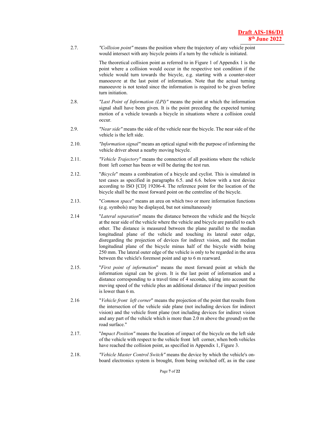2.7. *"Collision point"* means the position where the trajectory of any vehicle point would intersect with any bicycle points if a turn by the vehicle is initiated.

> The theoretical collision point as referred to in Figure 1 of Appendix 1 is the point where a collision would occur in the respective test condition if the vehicle would turn towards the bicycle, e.g. starting with a counter-steer manoeuvre at the last point of information. Note that the actual turning manoeuvre is not tested since the information is required to be given before turn initiation.

- 2.8. *"Last Point of Information (LPI)"* means the point at which the information signal shall have been given. It is the point preceding the expected turning motion of a vehicle towards a bicycle in situations where a collision could occur.
- 2.9. *"Near side"* means the side of the vehicle near the bicycle. The near side of the vehicle is the left side.
- 2.10. *"Information signal"* means an optical signal with the purpose of informing the vehicle driver about a nearby moving bicycle.
- 2.11. *"Vehicle Trajectory"* means the connection of all positions where the vehicle front left corner has been or will be during the test run.
- 2.12. "*Bicycle*" means a combination of a bicycle and cyclist. This is simulated in test cases as specified in paragraphs 6.5. and 6.6. below with a test device according to ISO [CD] 19206-4. The reference point for the location of the bicycle shall be the most forward point on the centreline of the bicycle.
- 2.13. "*Common space*" means an area on which two or more information functions (e.g. symbols) may be displayed, but not simultaneously
- 2.14 "*Lateral separation*" means the distance between the vehicle and the bicycle at the near side of the vehicle where the vehicle and bicycle are parallel to each other. The distance is measured between the plane parallel to the median longitudinal plane of the vehicle and touching its lateral outer edge, disregarding the projection of devices for indirect vision, and the median longitudinal plane of the bicycle minus half of the bicycle width being 250 mm. The lateral outer edge of the vehicle is only to be regarded in the area between the vehicle's foremost point and up to 6 m rearward.
- 2.15. "*First point of information*" means the most forward point at which the information signal can be given. It is the last point of information and a distance corresponding to a travel time of 4 seconds, taking into account the moving speed of the vehicle plus an additional distance if the impact position is lower than 6 m.
- 2.16 "*Vehicle front left corner*" means the projection of the point that results from the intersection of the vehicle side plane (not including devices for indirect vision) and the vehicle front plane (not including devices for indirect vision and any part of the vehicle which is more than 2.0 m above the ground) on the road surface."
- 2.17. "*Impact Position"* means the location of impact of the bicycle on the left side of the vehicle with respect to the vehicle front left corner, when both vehicles have reached the collision point, as specified in Appendix 1, Figure 3.
- 2.18. *"Vehicle Master Control Switch"* means the device by which the vehicle's onboard electronics system is brought, from being switched off, as in the case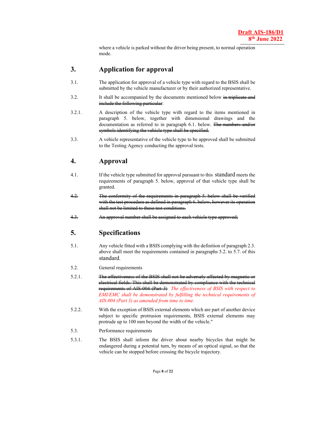where a vehicle is parked without the driver being present, to normal operation mode.

### **3. Application for approval**

- 3.1. The application for approval of a vehicle type with regard to the BSIS shall be submitted by the vehicle manufacturer or by their authorized representative.
- 3.2. It shall be accompanied by the documents mentioned below in triplicate and include the following particular:
- 3.2.1. A description of the vehicle type with regard to the items mentioned in paragraph 5. below, together with dimensional drawings and the documentation as referred to in paragraph 6.1. below. The numbers and/or symbols identifying the vehiele type shall be specified.
- 3.3. A vehicle representative of the vehicle type to be approved shall be submitted to the Testing Agency conducting the approval tests.

## **4. Approval**

- 4.1. If the vehicle type submitted for approval pursuant to this standard meets the requirements of paragraph 5. below, approval of that vehicle type shall be granted.
- 4.2. The conformity with the test procedure as defined in paragraph shall not be limited to these test condition
- 4.3. An approval number shall be assigned to each vehicle type 4.3.

# **5. Specifications**

- 5.1. Any vehicle fitted with a BSIS complying with the definition of paragraph 2.3. above shall meet the requirements contained in paragraphs 5.2. to 5.7. of this standard.
- 5.2. General requirements
- 5.2.1. The effectiveness of the BSIS shall not be adversely affected by magnetic or electrical fields. This shall be demonstrated by compliance with the technical requirements of AIS-004 (Part 3) *The effectiveness of BSIS with respect to EMI/EMC shall be demonstrated by fulfilling the technical requirements of AIS-004 (Part 3) as amended from time to time.*
- 5.2.2. With the exception of BSIS external elements which are part of another device subject to specific protrusion requirements, BSIS external elements may protrude up to 100 mm beyond the width of the vehicle."
- 5.3. Performance requirements
- 5.3.1. The BSIS shall inform the driver about nearby bicycles that might be endangered during a potential turn, by means of an optical signal, so that the vehicle can be stopped before crossing the bicycle trajectory.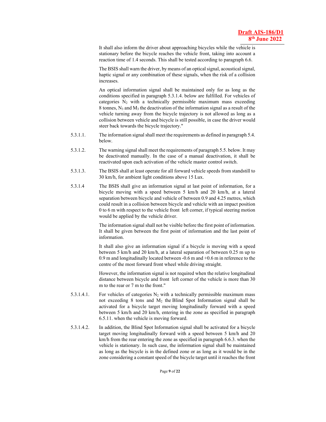It shall also inform the driver about approaching bicycles while the vehicle is stationary before the bicycle reaches the vehicle front, taking into account a reaction time of 1.4 seconds. This shall be tested according to paragraph 6.6.

 The BSIS shall warn the driver, by means of an optical signal, acoustical signal, haptic signal or any combination of these signals, when the risk of a collision increases.

An optical information signal shall be maintained only for as long as the conditions specified in paragraph 5.3.1.4. below are fulfilled. For vehicles of categories  $N_2$  with a technically permissible maximum mass exceeding 8 tonnes,  $N_3$  and  $M_3$  the deactivation of the information signal as a result of the vehicle turning away from the bicycle trajectory is not allowed as long as a collision between vehicle and bicycle is still possible, in case the driver would steer back towards the bicycle trajectory."

- 5.3.1.1. The information signal shall meet the requirements as defined in paragraph 5.4. below.
- 5.3.1.2. The warning signal shall meet the requirements of paragraph 5.5. below. It may be deactivated manually. In the case of a manual deactivation, it shall be reactivated upon each activation of the vehicle master control switch.
- 5.3.1.3. The BSIS shall at least operate for all forward vehicle speeds from standstill to 30 km/h, for ambient light conditions above 15 Lux.
- 5.3.1.4 The BSIS shall give an information signal at last point of information, for a bicycle moving with a speed between 5 km/h and 20 km/h, at a lateral separation between bicycle and vehicle of between 0.9 and 4.25 metres, which could result in a collision between bicycle and vehicle with an impact position 0 to 6 m with respect to the vehicle front left corner, if typical steering motion would be applied by the vehicle driver.

The information signal shall not be visible before the first point of information. It shall be given between the first point of information and the last point of information.

It shall also give an information signal if a bicycle is moving with a speed between 5 km/h and 20 km/h, at a lateral separation of between 0.25 m up to 0.9 m and longitudinally located between -0.6 m and +0.6 m in reference to the centre of the most forward front wheel while driving straight.

However, the information signal is not required when the relative longitudinal distance between bicycle and front left corner of the vehicle is more than 30 m to the rear or 7 m to the front."

- 5.3.1.4.1. For vehicles of categories  $N_2$  with a technically permissible maximum mass not exceeding 8 tons and  $M_2$  the Blind Spot Information signal shall be activated for a bicycle target moving longitudinally forward with a speed between 5 km/h and 20 km/h, entering in the zone as specified in paragraph 6.5.11. when the vehicle is moving forward.
- 5.3.1.4.2. In addition, the Blind Spot Information signal shall be activated for a bicycle target moving longitudinally forward with a speed between 5 km/h and 20 km/h from the rear entering the zone as specified in paragraph 6.6.3. when the vehicle is stationary. In such case, the information signal shall be maintained as long as the bicycle is in the defined zone or as long as it would be in the zone considering a constant speed of the bicycle target until it reaches the front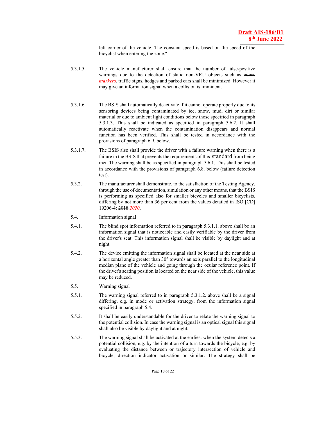left corner of the vehicle. The constant speed is based on the speed of the bicyclist when entering the zone."

- 5.3.1.5. The vehicle manufacturer shall ensure that the number of false-positive warnings due to the detection of static non-VRU objects such as even *markers*, traffic signs, hedges and parked cars shall be minimized. However it may give an information signal when a collision is imminent.
- 5.3.1.6. The BSIS shall automatically deactivate if it cannot operate properly due to its sensoring devices being contaminated by ice, snow, mud, dirt or similar material or due to ambient light conditions below those specified in paragraph 5.3.1.3. This shall be indicated as specified in paragraph 5.6.2. It shall automatically reactivate when the contamination disappears and normal function has been verified. This shall be tested in accordance with the provisions of paragraph 6.9. below.
- 5.3.1.7. The BSIS also shall provide the driver with a failure warning when there is a failure in the BSIS that prevents the requirements of this standard from being met. The warning shall be as specified in paragraph 5.6.1. This shall be tested in accordance with the provisions of paragraph 6.8. below (failure detection test).
- 5.3.2. The manufacturer shall demonstrate, to the satisfaction of the Testing Agency, through the use of documentation, simulation or any other means, that the BSIS is performing as specified also for smaller bicycles and smaller bicyclists, differing by not more than 36 per cent from the values detailed in ISO [CD] 19206-4: 2018 *2020*.
- 5.4. Information signal
- 5.4.1. The blind spot information referred to in paragraph 5.3.1.1. above shall be an information signal that is noticeable and easily verifiable by the driver from the driver's seat. This information signal shall be visible by daylight and at night.
- 5.4.2. The device emitting the information signal shall be located at the near side at a horizontal angle greater than 30° towards an axis parallel to the longitudinal median plane of the vehicle and going through the ocular reference point. If the driver's seating position is located on the near side of the vehicle, this value may be reduced.
- 5.5. Warning signal
- 5.5.1. The warning signal referred to in paragraph 5.3.1.2. above shall be a signal differing, e.g. in mode or activation strategy, from the information signal specified in paragraph 5.4.
- 5.5.2. It shall be easily understandable for the driver to relate the warning signal to the potential collision. In case the warning signal is an optical signal this signal shall also be visible by daylight and at night.
- 5.5.3. The warning signal shall be activated at the earliest when the system detects a potential collision, e.g. by the intention of a turn towards the bicycle, e.g. by evaluating the distance between or trajectory intersection of vehicle and bicycle, direction indicator activation or similar. The strategy shall be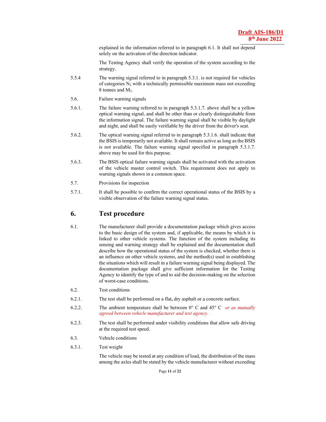explained in the information referred to in paragraph 6.1. It shall not depend solely on the activation of the direction indicator.

 The Testing Agency shall verify the operation of the system according to the strategy.

- 5.5.4 The warning signal referred to in paragraph 5.3.1. is not required for vehicles of categories  $N_2$  with a technically permissible maximum mass not exceeding 8 tonnes and M<sub>2</sub>.
- 5.6. Failure warning signals
- 5.6.1. The failure warning referred to in paragraph 5.3.1.7. above shall be a yellow optical warning signal, and shall be other than or clearly distinguishable from the information signal. The failure warning signal shall be visible by daylight and night, and shall be easily verifiable by the driver from the driver's seat.
- 5.6.2. The optical warning signal referred to in paragraph 5.3.1.6. shall indicate that the BSIS is temporarily not available. It shall remain active as long as the BSIS is not available. The failure warning signal specified in paragraph 5.3.1.7. above may be used for this purpose.
- 5.6.3. The BSIS optical failure warning signals shall be activated with the activation of the vehicle master control switch. This requirement does not apply to warning signals shown in a common space.
- 5.7. Provisions for inspection
- 5.7.1. It shall be possible to confirm the correct operational status of the BSIS by a visible observation of the failure warning signal status.

#### **6. Test procedure**

- 6.1. The manufacturer shall provide a documentation package which gives access to the basic design of the system and, if applicable, the means by which it is linked to other vehicle systems. The function of the system including its sensing and warning strategy shall be explained and the documentation shall describe how the operational status of the system is checked, whether there is an influence on other vehicle systems, and the method(s) used in establishing the situations which will result in a failure warning signal being displayed. The documentation package shall give sufficient information for the Testing Agency to identify the type of and to aid the decision-making on the selection of worst-case conditions.
- 6.2. Test conditions
- 6.2.1. The test shall be performed on a flat**,** dry asphalt or a concrete surface.
- 6.2.2. The ambient temperature shall be between 0° C and 45° C *or as mutually agreed between vehicle manufacturer and test agency.*
- 6.2.3. The test shall be performed under visibility conditions that allow safe driving at the required test speed.
- 6.3. Vehicle conditions
- 6.3.1. Test weight

The vehicle may be tested at any condition of load, the distribution of the mass among the axles shall be stated by the vehicle manufacturer without exceeding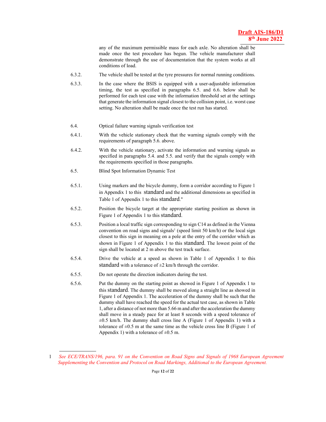any of the maximum permissible mass for each axle. No alteration shall be made once the test procedure has begun. The vehicle manufacturer shall demonstrate through the use of documentation that the system works at all conditions of load.

- 6.3.2. The vehicle shall be tested at the tyre pressures for normal running conditions.
- 6.3.3. In the case where the BSIS is equipped with a user-adjustable information timing, the test as specified in paragraphs 6.5. and 6.6. below shall be performed for each test case with the information threshold set at the settings that generate the information signal closest to the collision point, i.e. worst case setting. No alteration shall be made once the test run has started.
- 6.4. Optical failure warning signals verification test
- 6.4.1. With the vehicle stationary check that the warning signals comply with the requirements of paragraph 5.6. above.
- 6.4.2. With the vehicle stationary, activate the information and warning signals as specified in paragraphs 5.4. and 5.5. and verify that the signals comply with the requirements specified in those paragraphs.
- 6.5. Blind Spot Information Dynamic Test
- 6.5.1. Using markers and the bicycle dummy, form a corridor according to Figure 1 in Appendix 1 to this standard and the additional dimensions as specified in Table 1 of Appendix 1 to this standard."
- 6.5.2. Position the bicycle target at the appropriate starting position as shown in Figure 1 of Appendix 1 to this standard.
- 6.5.3. Position a local traffic sign corresponding to sign C14 as defined in the Vienna convention on road signs and signals<sup>1</sup> (speed limit 50 km/h) or the local sign closest to this sign in meaning on a pole at the entry of the corridor which as shown in Figure 1 of Appendix 1 to this standard. The lowest point of the sign shall be located at 2 m above the test track surface.
- 6.5.4. Drive the vehicle at a speed as shown in Table 1 of Appendix 1 to this standard with a tolerance of  $\pm 2$  km/h through the corridor.
- 6.5.5. Do not operate the direction indicators during the test.

 $\overline{a}$ 

6.5.6. Put the dummy on the starting point as showed in Figure 1 of Appendix 1 to this standard. The dummy shall be moved along a straight line as showed in Figure 1 of Appendix 1. The acceleration of the dummy shall be such that the dummy shall have reached the speed for the actual test case, as shown in Table 1, after a distance of not more than 5.66 m and after the acceleration the dummy shall move in a steady pace for at least 8 seconds with a speed tolerance of  $\pm 0.5$  km/h. The dummy shall cross line A (Figure 1 of Appendix 1) with a tolerance of  $\pm 0.5$  m at the same time as the vehicle cross line B (Figure 1 of Appendix 1) with a tolerance of  $\pm 0.5$  m.

<sup>1</sup> *See ECE/TRANS/196, para. 91 on the Convention on Road Signs and Signals of 1968 European Agreement Supplementing the Convention and Protocol on Road Markings, Additional to the European Agreement.*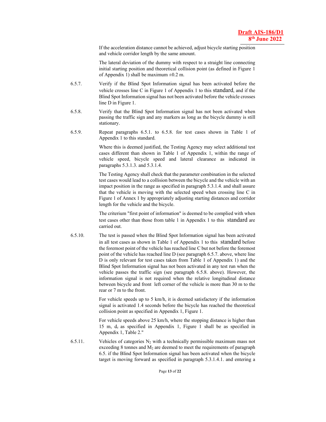If the acceleration distance cannot be achieved, adjust bicycle starting position and vehicle corridor length by the same amount.

 The lateral deviation of the dummy with respect to a straight line connecting initial starting position and theoretical collision point (as defined in Figure 1 of Appendix 1) shall be maximum  $\pm 0.2$  m.

- 6.5.7. Verify if the Blind Spot Information signal has been activated before the vehicle crosses line C in Figure 1 of Appendix 1 to this standard, and if the Blind Spot Information signal has not been activated before the vehicle crosses line D in Figure 1.
- 6.5.8. Verify that the Blind Spot Information signal has not been activated when passing the traffic sign and any markers as long as the bicycle dummy is still stationary.
- 6.5.9. Repeat paragraphs 6.5.1. to 6.5.8. for test cases shown in Table 1 of Appendix 1 to this standard.

Where this is deemed justified, the Testing Agency may select additional test cases different than shown in Table 1 of Appendix 1, within the range of vehicle speed, bicycle speed and lateral clearance as indicated in paragraphs 5.3.1.3. and 5.3.1.4.

The Testing Agency shall check that the parameter combination in the selected test cases would lead to a collision between the bicycle and the vehicle with an impact position in the range as specified in paragraph 5.3.1.4. and shall assure that the vehicle is moving with the selected speed when crossing line C in Figure 1 of Annex 1 by appropriately adjusting starting distances and corridor length for the vehicle and the bicycle.

The criterium "first point of information" is deemed to be complied with when test cases other than those from table 1 in Appendix 1 to this standard are carried out.

6.5.10. The test is passed when the Blind Spot Information signal has been activated in all test cases as shown in Table 1 of Appendix 1 to this standard before the foremost point of the vehicle has reached line C but not before the foremost point of the vehicle has reached line D (see paragraph 6.5.7. above, where line D is only relevant for test cases taken from Table 1 of Appendix 1) and the Blind Spot Information signal has not been activated in any test run when the vehicle passes the traffic sign (see paragraph 6.5.8. above). However, the information signal is not required when the relative longitudinal distance between bicycle and front left corner of the vehicle is more than 30 m to the rear or 7 m to the front.

> For vehicle speeds up to 5 km/h, it is deemed satisfactory if the information signal is activated 1.4 seconds before the bicycle has reached the theoretical collision point as specified in Appendix 1, Figure 1.

> For vehicle speeds above 25 km/h, where the stopping distance is higher than 15 m,  $d_c$  as specified in Appendix 1, Figure 1 shall be as specified in Appendix 1, Table 2."

6.5.11. Vehicles of categories  $N_2$  with a technically permissible maximum mass not exceeding 8 tonnes and  $M_2$  are deemed to meet the requirements of paragraph 6.5. if the Blind Spot Information signal has been activated when the bicycle target is moving forward as specified in paragraph 5.3.1.4.1. and entering a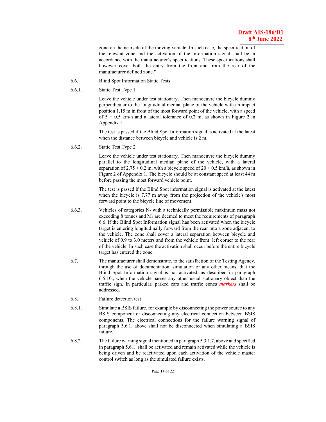zone on the nearside of the moving vehicle. In such case, the specification of the relevant zone and the activation of the information signal shall be in accordance with the manufacturer's specifications. These specifications shall however cover both the entry from the front and from the rear of the manufacturer defined zone."

- 6.6. Blind Spot Information Static Tests
- 6.6.1. Static Test Type 1

 Leave the vehicle under test stationary. Then manoeuvre the bicycle dummy perpendicular to the longitudinal median plane of the vehicle with an impact position 1.15 m in front of the most forward point of the vehicle, with a speed of  $5 \pm 0.5$  km/h and a lateral tolerance of 0.2 m, as shown in Figure 2 in Appendix 1.

 The test is passed if the Blind Spot Information signal is activated at the latest when the distance between bicycle and vehicle is 2 m.

6.6.2. Static Test Type 2

 Leave the vehicle under test stationary. Then manoeuvre the bicycle dummy parallel to the longitudinal median plane of the vehicle, with a lateral separation of  $2.75 \pm 0.2$  m, with a bicycle speed of  $20 \pm 0.5$  km/h, as shown in Figure 2 of Appendix 1. The bicycle should be at constant speed at least 44 m before passing the most forward vehicle point.

 The test is passed if the Blind Spot information signal is activated at the latest when the bicycle is 7.77 m away from the projection of the vehicle's most forward point to the bicycle line of movement.

- 6.6.3. Vehicles of categories  $N_2$  with a technically permissible maximum mass not exceeding 8 tonnes and  $M_2$  are deemed to meet the requirements of paragraph 6.6. if the Blind Spot Information signal has been activated when the bicycle target is entering longitudinally forward from the rear into a zone adjacent to the vehicle. The zone shall cover a lateral separation between bicycle and vehicle of 0.9 to 3.0 meters and from the vehicle front left corner to the rear of the vehicle. In such case the activation shall occur before the entire bicycle target has entered the zone.
- 6.7. The manufacturer shall demonstrate, to the satisfaction of the Testing Agency, through the use of documentation, simulation or any other means, that the Blind Spot Information signal is not activated, as described in paragraph 6.5.10., when the vehicle passes any other usual stationary object than the traffic sign. In particular, parked cars and traffic **eenes markers** shall be addressed.
- 6.8. Failure detection test
- 6.8.1. Simulate a BSIS failure, for example by disconnecting the power source to any BSIS component or disconnecting any electrical connection between BSIS components. The electrical connections for the failure warning signal of paragraph 5.6.1. above shall not be disconnected when simulating a BSIS failure.
- 6.8.2. The failure warning signal mentioned in paragraph 5.3.1.7. above and specified in paragraph 5.6.1. shall be activated and remain activated while the vehicle is being driven and be reactivated upon each activation of the vehicle master control switch as long as the simulated failure exists.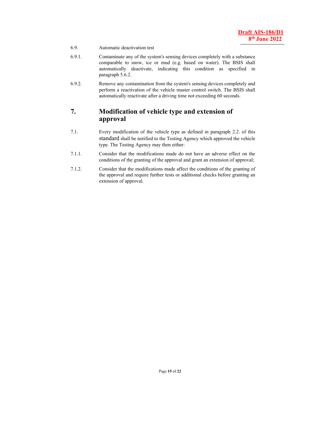- 6.9. Automatic deactivation test
- 6.9.1. Contaminate any of the system's sensing devices completely with a substance comparable to snow, ice or mud (e.g. based on water). The BSIS shall automatically deactivate, indicating this condition as specified in paragraph 5.6.2.
- 6.9.2. Remove any contamination from the system's sensing devices completely and perform a reactivation of the vehicle master control switch. The BSIS shall automatically reactivate after a driving time not exceeding 60 seconds.

## **7. Modification of vehicle type and extension of approval**

- 7.1. Every modification of the vehicle type as defined in paragraph 2.2. of this standard shall be notified to the Testing Agency which approved the vehicle type. The Testing Agency may then either:
- 7.1.1. Consider that the modifications made do not have an adverse effect on the conditions of the granting of the approval and grant an extension of approval;
- 7.1.2. Consider that the modifications made affect the conditions of the granting of the approval and require further tests or additional checks before granting an extension of approval.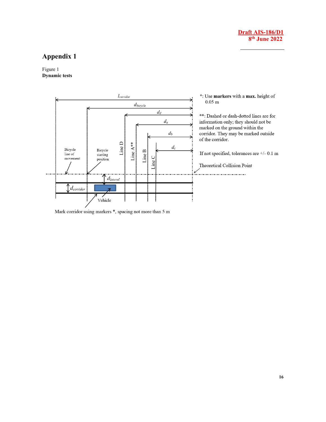

# **Appendix 1**

Figure 1 **Dynamic tests** 



Mark corridor using markers \*, spacing not more than 5 m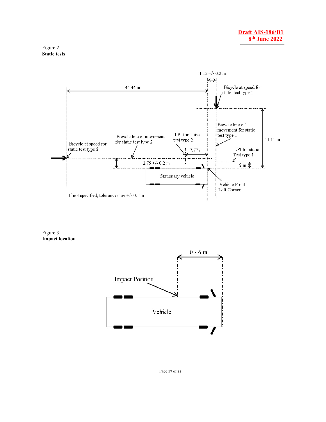



Figure 3 **Impact location** 



Page **17** of **22**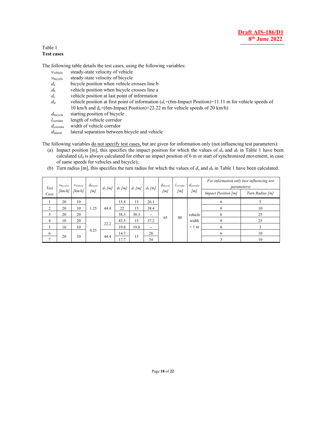#### Table 1 **Test cases**

The following table details the test cases, using the following variables:

| $V$ vehicle           | steady-state velocity of vehicle                                                                            |
|-----------------------|-------------------------------------------------------------------------------------------------------------|
| V <sub>bicycle</sub>  | steady-state velocity of bicycle                                                                            |
| $d_{\rm a}$           | bicycle position when vehicle crosses line b                                                                |
| $d_{\rm b}$           | vehicle position when bicycle crosses line a                                                                |
| $d_{c}$               | vehicle position at last point of information                                                               |
| $d_{\rm d}$           | vehicle position at first point of information $(d_c+(6m-1)$ mpact Position + 11.11 m for vehicle speeds of |
|                       | 10 km/h and $d_c$ +(6m-Impact Position)+22.22 m for vehicle speeds of 20 km/h)                              |
| $d_{\text{bicycle}}$  | starting position of bicycle                                                                                |
| $l_{\text{corridor}}$ | length of vehicle corridor                                                                                  |
| $d_{\text{corridor}}$ | width of vehicle corridor                                                                                   |

*d*lateral lateral separation between bicycle and vehicle

The following variables do not specify test cases, but are given for information only (not influencing test parameters):

- (a) Impact position [m], this specifies the impact position for which the values of  $d_a$  and  $d_b$  in Table 1 have been calculated  $(d_d$  is always calculated for either an impact position of 6 m or start of synchronized movement, in case of same speeds for vehicles and bicycle);
- (b) Turn radius [m], this specifies the turn radius for which the values of  $d_a$  and  $d_b$  in Table 1 have been calculated.

| Test<br>Case | Vbicyclee<br>[km/h] | VVehicle<br>[km/h] | $d_{\text{lateral}}$<br>[m] | $d_a$ [m] | $d_b$ [m] | $d_c$ [m] | $d_d$ [m]                | $d_{bicycle}$<br>[m] | lcorridor<br>[m] | $d_{\text{corridor}}$<br>[m] | <i>parameters</i> )<br><b>Impact Position [m]</b> | For information only (not influencing test<br>Turn Radius [m] |
|--------------|---------------------|--------------------|-----------------------------|-----------|-----------|-----------|--------------------------|----------------------|------------------|------------------------------|---------------------------------------------------|---------------------------------------------------------------|
|              | 20                  | 10                 |                             |           | 15.8      | 15        | 26.1                     | 65                   |                  |                              | 6                                                 |                                                               |
|              | 20                  | 10                 | 1.25                        | 44.4      | 22        | 15        | 38.4                     |                      |                  |                              | $\bf{0}$                                          | 10                                                            |
| 3            | 20                  | 20                 |                             |           | 38.3      | 38.3      | ۰                        |                      |                  |                              | vehicle                                           | 6                                                             |
| 4            | 10                  | 20                 | 4.25                        |           | 43.5      | 15        | 37.2                     |                      | 80               | width<br>$+1$ m              | $\theta$                                          | 25                                                            |
|              | 10                  | 10                 |                             | 22.2      | 19.8      | 19.8      | $\overline{\phantom{0}}$ |                      |                  |                              | $\mathbf{0}$                                      |                                                               |
| 6            |                     |                    |                             |           | 14.7      |           | 28                       |                      |                  |                              | 6                                                 | 10                                                            |
|              | 20                  | 10                 |                             | 44.4      | 17.7      | 15        | 34                       |                      |                  |                              |                                                   | 10                                                            |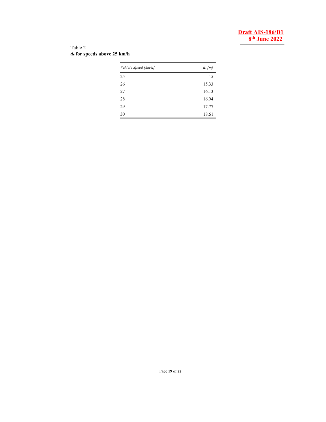#### Table 2 *d***c for speeds above 25 km/h**

| Vehicle Speed [km/h] | $d_c$ [m] |
|----------------------|-----------|
| 25                   | 15        |
| 26                   | 15.33     |
| 27                   | 16.13     |
| 28                   | 16.94     |
| 29                   | 17.77     |
| 30                   | 18.61     |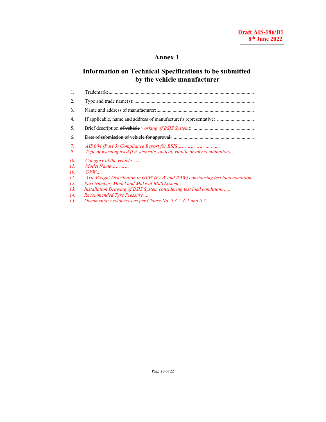# **Annex 1**

# **Information on Technical Specifications to be submitted by the vehicle manufacturer**

| 1.                                                   |                                                                                                                                                                                                                                                                                                                                               |
|------------------------------------------------------|-----------------------------------------------------------------------------------------------------------------------------------------------------------------------------------------------------------------------------------------------------------------------------------------------------------------------------------------------|
| 2.                                                   |                                                                                                                                                                                                                                                                                                                                               |
| 3.                                                   |                                                                                                                                                                                                                                                                                                                                               |
| 4.                                                   | If applicable, name and address of manufacturer's representative:                                                                                                                                                                                                                                                                             |
| 5.                                                   |                                                                                                                                                                                                                                                                                                                                               |
| 6.                                                   |                                                                                                                                                                                                                                                                                                                                               |
| 7.<br>9.                                             | Type of warning used (i.e. acoustic, optical, Haptic or any combination)                                                                                                                                                                                                                                                                      |
| 10.<br>11.<br>10.<br>11.<br>12.<br>13.<br>14.<br>15. | Category of the vehicle<br>Model Name<br>GVW<br>Axle Weight Distribution in GVW (FAW and RAW) considering test load condition<br>Part Number, Model and Make of BSIS System<br>Installation Drawing of BSIS System considering test load condition<br>Recommended Tyre Pressure<br>Documentary evidences as per Clause No. 5.3.2, 6.1 and 6.7 |
|                                                      |                                                                                                                                                                                                                                                                                                                                               |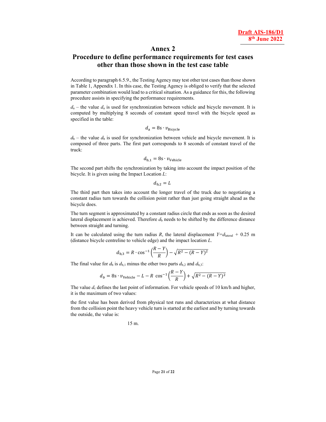#### **Annex 2**

#### **Procedure to define performance requirements for test cases other than those shown in the test case table**

According to paragraph 6.5.9., the Testing Agency may test other test cases than those shown in Table 1, Appendix 1. In this case, the Testing Agency is obliged to verify that the selected parameter combination would lead to a critical situation. As a guidance for this, the following procedure assists in specifying the performance requirements.

 $d_a$  – the value  $d_a$  is used for synchronization between vehicle and bicycle movement. It is computed by multiplying 8 seconds of constant speed travel with the bicycle speed as specified in the table:

$$
d_{\rm a} = 8 \mathbf{s} \cdot v_{\rm Bicycle}
$$

 $d_b$  – the value  $d_b$  is used for synchronization between vehicle and bicycle movement. It is composed of three parts. The first part corresponds to 8 seconds of constant travel of the truck:

$$
d_{\rm b,1} = 8 \mathbf{s} \cdot \mathbf{v}_{\rm Vehicle}
$$

The second part shifts the synchronization by taking into account the impact position of the bicycle. It is given using the Impact Location *L*:

 $d_{h2} = L$ 

The third part then takes into account the longer travel of the truck due to negotiating a constant radius turn towards the collision point rather than just going straight ahead as the bicycle does.

The turn segment is approximated by a constant radius circle that ends as soon as the desired lateral displacement is achieved. Therefore  $d<sub>b</sub>$  needs to be shifted by the difference distance between straight and turning.

It can be calculated using the turn radius *R*, the lateral displacement  $Y=d<sub>lateral</sub> + 0.25$  m (distance bicycle centreline to vehicle edge) and the impact location *L*.

$$
d_{b,3} = R \cdot \cos^{-1}\left(\frac{R-Y}{R}\right) - \sqrt{R^2 - (R-Y)^2}
$$

The final value for  $d_b$  is  $d_{b,1}$  minus the other two parts  $d_{b,2}$  and  $d_{b,3}$ :

$$
d_b = 8s \cdot v_{\text{Vehicle}} - L - R \cos^{-1}\left(\frac{R - Y}{R}\right) + \sqrt{R^2 - (R - Y)^2}
$$

The value  $d_c$  defines the last point of information. For vehicle speeds of 10 km/h and higher, it is the maximum of two values:

the first value has been derived from physical test runs and characterizes at what distance from the collision point the heavy vehicle turn is started at the earliest and by turning towards the outside, the value is:

15 m.